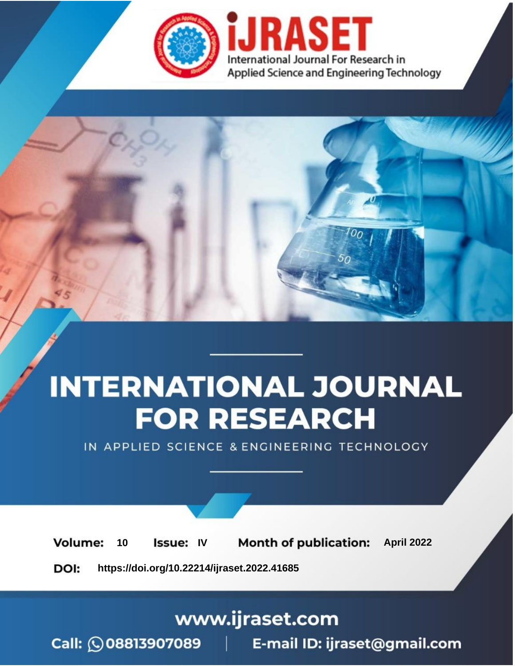

# **INTERNATIONAL JOURNAL FOR RESEARCH**

IN APPLIED SCIENCE & ENGINEERING TECHNOLOGY

10 **Issue: IV Month of publication:** April 2022 **Volume:** 

**https://doi.org/10.22214/ijraset.2022.41685**DOI:

www.ijraset.com

Call: 008813907089 | E-mail ID: ijraset@gmail.com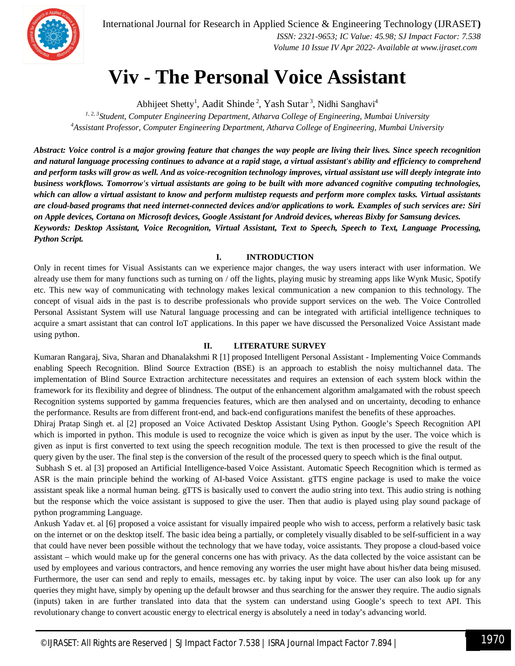

International Journal for Research in Applied Science & Engineering Technology (IJRASET**)**  *ISSN: 2321-9653; IC Value: 45.98; SJ Impact Factor: 7.538*

 *Volume 10 Issue IV Apr 2022- Available at www.ijraset.com*

## **Viv - The Personal Voice Assistant**

Abhijeet Shetty<sup>1</sup>, Aadit Shinde<sup>2</sup>, Yash Sutar<sup>3</sup>, Nidhi Sanghavi<sup>4</sup>

*1, 2, 3Student, Computer Engineering Department, Atharva College of Engineering, Mumbai University <sup>4</sup>Assistant Professor, Computer Engineering Department, Atharva College of Engineering, Mumbai University*

*Abstract: Voice control is a major growing feature that changes the way people are living their lives. Since speech recognition and natural language processing continues to advance at a rapid stage, a virtual assistant's ability and efficiency to comprehend and perform tasks will grow as well. And as voice-recognition technology improves, virtual assistant use will deeply integrate into business workflows. Tomorrow's virtual assistants are going to be built with more advanced cognitive computing technologies, which can allow a virtual assistant to know and perform multistep requests and perform more complex tasks. Virtual assistants are cloud-based programs that need internet-connected devices and/or applications to work. Examples of such services are: Siri on Apple devices, Cortana on Microsoft devices, Google Assistant for Android devices, whereas Bixby for Samsung devices. Keywords: Desktop Assistant, Voice Recognition, Virtual Assistant, Text to Speech, Speech to Text, Language Processing, Python Script.*

### **I. INTRODUCTION**

Only in recent times for Visual Assistants can we experience major changes, the way users interact with user information. We already use them for many functions such as turning on / off the lights, playing music by streaming apps like Wynk Music, Spotify etc. This new way of communicating with technology makes lexical communication a new companion to this technology. The concept of visual aids in the past is to describe professionals who provide support services on the web. The Voice Controlled Personal Assistant System will use Natural language processing and can be integrated with artificial intelligence techniques to acquire a smart assistant that can control IoT applications. In this paper we have discussed the Personalized Voice Assistant made using python.

### **II. LITERATURE SURVEY**

Kumaran Rangaraj, Siva, Sharan and Dhanalakshmi R [1] proposed Intelligent Personal Assistant - Implementing Voice Commands enabling Speech Recognition. Blind Source Extraction (BSE) is an approach to establish the noisy multichannel data. The implementation of Blind Source Extraction architecture necessitates and requires an extension of each system block within the framework for its flexibility and degree of blindness. The output of the enhancement algorithm amalgamated with the robust speech Recognition systems supported by gamma frequencies features, which are then analysed and on uncertainty, decoding to enhance the performance. Results are from different front-end, and back-end configurations manifest the benefits of these approaches.

Dhiraj Pratap Singh et. al [2] proposed an Voice Activated Desktop Assistant Using Python. Google's Speech Recognition API which is imported in python. This module is used to recognize the voice which is given as input by the user. The voice which is given as input is first converted to text using the speech recognition module. The text is then processed to give the result of the query given by the user. The final step is the conversion of the result of the processed query to speech which is the final output.

Subhash S et. al [3] proposed an Artificial Intelligence-based Voice Assistant. Automatic Speech Recognition which is termed as ASR is the main principle behind the working of AI-based Voice Assistant. gTTS engine package is used to make the voice assistant speak like a normal human being. gTTS is basically used to convert the audio string into text. This audio string is nothing but the response which the voice assistant is supposed to give the user. Then that audio is played using play sound package of python programming Language.

Ankush Yadav et. al [6] proposed a voice assistant for visually impaired people who wish to access, perform a relatively basic task on the internet or on the desktop itself. The basic idea being a partially, or completely visually disabled to be self-sufficient in a way that could have never been possible without the technology that we have today, voice assistants. They propose a cloud-based voice assistant – which would make up for the general concerns one has with privacy. As the data collected by the voice assistant can be used by employees and various contractors, and hence removing any worries the user might have about his/her data being misused. Furthermore, the user can send and reply to emails, messages etc. by taking input by voice. The user can also look up for any queries they might have, simply by opening up the default browser and thus searching for the answer they require. The audio signals (inputs) taken in are further translated into data that the system can understand using Google's speech to text API. This revolutionary change to convert acoustic energy to electrical energy is absolutely a need in today's advancing world.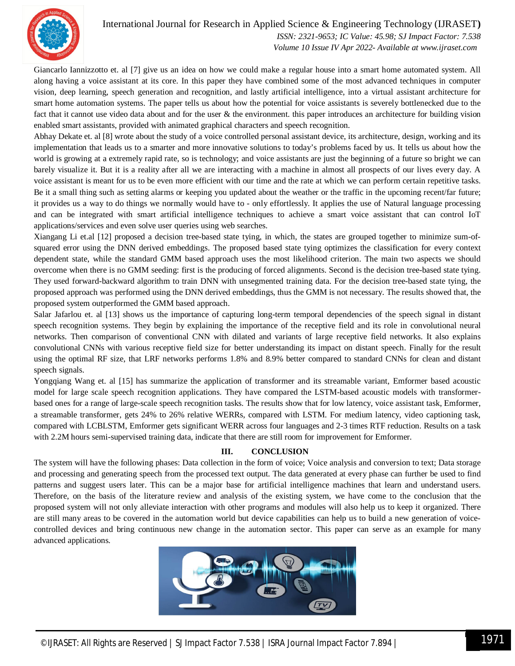

### International Journal for Research in Applied Science & Engineering Technology (IJRASET**)**

 *ISSN: 2321-9653; IC Value: 45.98; SJ Impact Factor: 7.538 Volume 10 Issue IV Apr 2022- Available at www.ijraset.com*

Giancarlo Iannizzotto et. al [7] give us an idea on how we could make a regular house into a smart home automated system. All along having a voice assistant at its core. In this paper they have combined some of the most advanced techniques in computer vision, deep learning, speech generation and recognition, and lastly artificial intelligence, into a virtual assistant architecture for smart home automation systems. The paper tells us about how the potential for voice assistants is severely bottlenecked due to the fact that it cannot use video data about and for the user & the environment. this paper introduces an architecture for building vision enabled smart assistants, provided with animated graphical characters and speech recognition.

Abhay Dekate et. al [8] wrote about the study of a voice controlled personal assistant device, its architecture, design, working and its implementation that leads us to a smarter and more innovative solutions to today's problems faced by us. It tells us about how the world is growing at a extremely rapid rate, so is technology; and voice assistants are just the beginning of a future so bright we can barely visualize it. But it is a reality after all we are interacting with a machine in almost all prospects of our lives every day. A voice assistant is meant for us to be even more efficient with our time and the rate at which we can perform certain repetitive tasks. Be it a small thing such as setting alarms or keeping you updated about the weather or the traffic in the upcoming recent/far future; it provides us a way to do things we normally would have to - only effortlessly. It applies the use of Natural language processing and can be integrated with smart artificial intelligence techniques to achieve a smart voice assistant that can control IoT applications/services and even solve user queries using web searches.

Xiangang Li et.al [12] proposed a decision tree-based state tying, in which, the states are grouped together to minimize sum-ofsquared error using the DNN derived embeddings. The proposed based state tying optimizes the classification for every context dependent state, while the standard GMM based approach uses the most likelihood criterion. The main two aspects we should overcome when there is no GMM seeding: first is the producing of forced alignments. Second is the decision tree-based state tying. They used forward-backward algorithm to train DNN with unsegmented training data. For the decision tree-based state tying, the proposed approach was performed using the DNN derived embeddings, thus the GMM is not necessary. The results showed that, the proposed system outperformed the GMM based approach.

Salar Jafarlou et. al [13] shows us the importance of capturing long-term temporal dependencies of the speech signal in distant speech recognition systems. They begin by explaining the importance of the receptive field and its role in convolutional neural networks. Then comparison of conventional CNN with dilated and variants of large receptive field networks. It also explains convolutional CNNs with various receptive field size for better understanding its impact on distant speech. Finally for the result using the optimal RF size, that LRF networks performs 1.8% and 8.9% better compared to standard CNNs for clean and distant speech signals.

Yongqiang Wang et. al [15] has summarize the application of transformer and its streamable variant, Emformer based acoustic model for large scale speech recognition applications. They have compared the LSTM-based acoustic models with transformerbased ones for a range of large-scale speech recognition tasks. The results show that for low latency, voice assistant task, Emformer, a streamable transformer, gets 24% to 26% relative WERRs, compared with LSTM. For medium latency, video captioning task, compared with LCBLSTM, Emformer gets significant WERR across four languages and 2-3 times RTF reduction. Results on a task with 2.2M hours semi-supervised training data, indicate that there are still room for improvement for Emformer.

### **III. CONCLUSION**

The system will have the following phases: Data collection in the form of voice; Voice analysis and conversion to text; Data storage and processing and generating speech from the processed text output. The data generated at every phase can further be used to find patterns and suggest users later. This can be a major base for artificial intelligence machines that learn and understand users. Therefore, on the basis of the literature review and analysis of the existing system, we have come to the conclusion that the proposed system will not only alleviate interaction with other programs and modules will also help us to keep it organized. There are still many areas to be covered in the automation world but device capabilities can help us to build a new generation of voicecontrolled devices and bring continuous new change in the automation sector. This paper can serve as an example for many advanced applications.

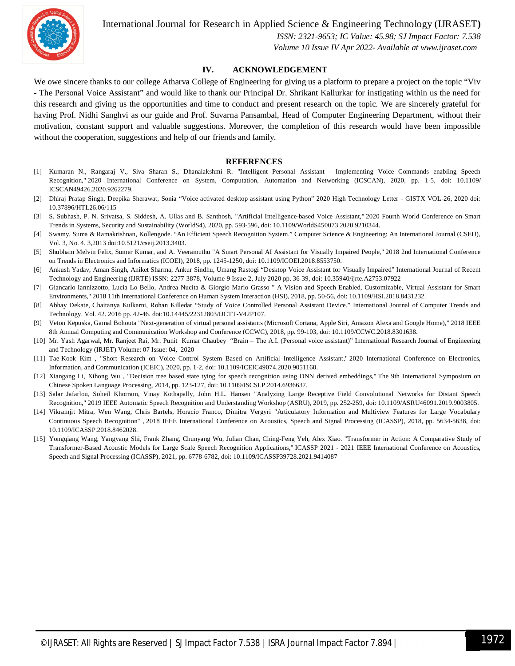

International Journal for Research in Applied Science & Engineering Technology (IJRASET**)**

 *ISSN: 2321-9653; IC Value: 45.98; SJ Impact Factor: 7.538 Volume 10 Issue IV Apr 2022- Available at www.ijraset.com*

### **IV. ACKNOWLEDGEMENT**

We owe sincere thanks to our college Atharva College of Engineering for giving us a platform to prepare a project on the topic "Viv - The Personal Voice Assistant" and would like to thank our Principal Dr. Shrikant Kallurkar for instigating within us the need for this research and giving us the opportunities and time to conduct and present research on the topic. We are sincerely grateful for having Prof. Nidhi Sanghvi as our guide and Prof. Suvarna Pansambal, Head of Computer Engineering Department, without their motivation, constant support and valuable suggestions. Moreover, the completion of this research would have been impossible without the cooperation, suggestions and help of our friends and family.

#### **REFERENCES**

- [1] Kumaran N., Rangaraj V., Siva Sharan S., Dhanalakshmi R. "Intelligent Personal Assistant Implementing Voice Commands enabling Speech Recognition," 2020 International Conference on System, Computation, Automation and Networking (ICSCAN), 2020, pp. 1-5, doi: 10.1109/ ICSCAN49426.2020.9262279.
- [2] Dhiraj Pratap Singh, Deepika Sherawat, Sonia "Voice activated desktop assistant using Python" 2020 High Technology Letter GISTX VOL-26, 2020 doi: 10.37896/HTL26.06/115
- [3] S. Subhash, P. N. Srivatsa, S. Siddesh, A. Ullas and B. Santhosh, "Artificial Intelligence-based Voice Assistant," 2020 Fourth World Conference on Smart Trends in Systems, Security and Sustainability (WorldS4), 2020, pp. 593-596, doi: 10.1109/WorldS450073.2020.9210344.
- [4] Swamy, Suma & Ramakrishnan, Kollengode. "An Efficient Speech Recognition System." Computer Science & Engineering: An International Journal (CSEIJ), Vol. 3, No. 4. 3,2013 doi:10.5121/cseij.2013.3403.
- [5] Shubham Melvin Felix, Sumer Kumar, and A. Veeramuthu "A Smart Personal AI Assistant for Visually Impaired People," 2018 2nd International Conference on Trends in Electronics and Informatics (ICOEI), 2018, pp. 1245-1250, doi: 10.1109/ICOEI.2018.8553750.
- [6] Ankush Yadav, Aman Singh, Aniket Sharma, Ankur Sindhu, Umang Rastogi "Desktop Voice Assistant for Visually Impaired" International Journal of Recent Technology and Engineering (IJRTE) ISSN: 2277-3878, Volume-9 Issue-2, July 2020 pp. 36-39, doi: 10.35940/ijrte.A2753.07922
- [7] Giancarlo Iannizzotto, Lucia Lo Bello, Andrea Nucita & Giorgio Mario Grasso " A Vision and Speech Enabled, Customizable, Virtual Assistant for Smart Environments," 2018 11th International Conference on Human System Interaction (HSI), 2018, pp. 50-56, doi: 10.1109/HSI.2018.8431232.
- [8] Abhay Dekate, Chaitanya Kulkarni, Rohan Killedar "Study of Voice Controlled Personal Assistant Device." International Journal of Computer Trends and Technology. Vol. 42. 2016 pp. 42-46. doi:10.14445/22312803/IJCTT-V42P107.
- [9] Veton Këpuska, Gamal Bohouta "Next-generation of virtual personal assistants (Microsoft Cortana, Apple Siri, Amazon Alexa and Google Home)," 2018 IEEE 8th Annual Computing and Communication Workshop and Conference (CCWC), 2018, pp. 99-103, doi: 10.1109/CCWC.2018.8301638.
- [10] Mr. Yash Agarwal, Mr. Ranjeet Rai, Mr. Punit Kumar Chaubey "Brain The A.I. (Personal voice assistant)" International Research Journal of Engineering and Technology (IRJET) Volume: 07 Issue: 04, 2020
- [11] Tae-Kook Kim , "Short Research on Voice Control System Based on Artificial Intelligence Assistant," 2020 International Conference on Electronics, Information, and Communication (ICEIC), 2020, pp. 1-2, doi: 10.1109/ICEIC49074.2020.9051160.
- [12] Xiangang Li, Xihong Wu , "Decision tree based state tying for speech recognition using DNN derived embeddings," The 9th International Symposium on Chinese Spoken Language Processing, 2014, pp. 123-127, doi: 10.1109/ISCSLP.2014.6936637.
- [13] Salar Jafarlou, Soheil Khorram, Vinay Kothapally, John H.L. Hansen "Analyzing Large Receptive Field Convolutional Networks for Distant Speech Recognition," 2019 IEEE Automatic Speech Recognition and Understanding Workshop (ASRU), 2019, pp. 252-259, doi: 10.1109/ASRU46091.2019.9003805.
- [14] Vikramjit Mitra, Wen Wang, Chris Bartels, Horacio Franco, Dimitra Vergyri "Articulatory Information and Multiview Features for Large Vocabulary Continuous Speech Recognition" , 2018 IEEE International Conference on Acoustics, Speech and Signal Processing (ICASSP), 2018, pp. 5634-5638, doi: 10.1109/ICASSP.2018.8462028.
- [15] Yongqiang Wang, Yangyang Shi, Frank Zhang, Chunyang Wu, Julian Chan, Ching-Feng Yeh, Alex Xiao. "Transformer in Action: A Comparative Study of Transformer-Based Acoustic Models for Large Scale Speech Recognition Applications," ICASSP 2021 - 2021 IEEE International Conference on Acoustics, Speech and Signal Processing (ICASSP), 2021, pp. 6778-6782, doi: 10.1109/ICASSP39728.2021.9414087